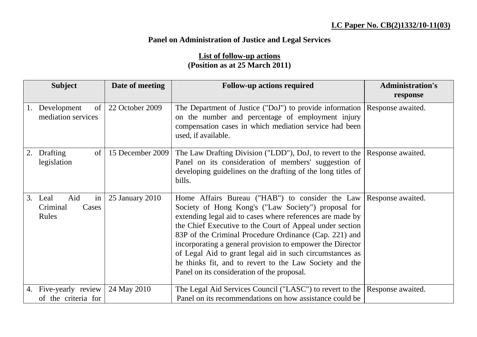## **LC Paper No. CB(2)1332/10-11(03)**

## **Panel on Administration of Justice and Legal Services**

## **List of follow-up actions (Position as at 25 March 2011)**

| <b>Subject</b>                |                                           | Date of meeting  | <b>Follow-up actions required</b>                                                                                                                                                                                                                                                                                                                                                                                                                                                                                            | <b>Administration's</b> |
|-------------------------------|-------------------------------------------|------------------|------------------------------------------------------------------------------------------------------------------------------------------------------------------------------------------------------------------------------------------------------------------------------------------------------------------------------------------------------------------------------------------------------------------------------------------------------------------------------------------------------------------------------|-------------------------|
|                               |                                           |                  |                                                                                                                                                                                                                                                                                                                                                                                                                                                                                                                              | response                |
| Development                   | of<br>mediation services                  | 22 October 2009  | The Department of Justice ("DoJ") to provide information<br>on the number and percentage of employment injury<br>compensation cases in which mediation service had been<br>used, if available.                                                                                                                                                                                                                                                                                                                               | Response awaited.       |
| Drafting<br>2.<br>legislation | of                                        | 15 December 2009 | The Law Drafting Division ("LDD"), DoJ, to revert to the<br>Panel on its consideration of members' suggestion of<br>developing guidelines on the drafting of the long titles of<br>bills.                                                                                                                                                                                                                                                                                                                                    | Response awaited.       |
| 3. Leal<br>Criminal<br>Rules  | Aid<br>in<br>Cases                        | 25 January 2010  | Home Affairs Bureau ("HAB") to consider the Law<br>Society of Hong Kong's ("Law Society") proposal for<br>extending legal aid to cases where references are made by<br>the Chief Executive to the Court of Appeal under section<br>83P of the Criminal Procedure Ordinance (Cap. 221) and<br>incorporating a general provision to empower the Director<br>of Legal Aid to grant legal aid in such circumstances as<br>he thinks fit, and to revert to the Law Society and the<br>Panel on its consideration of the proposal. | Response awaited.       |
| 4.                            | Five-yearly review<br>of the criteria for | 24 May 2010      | The Legal Aid Services Council ("LASC") to revert to the<br>Panel on its recommendations on how assistance could be                                                                                                                                                                                                                                                                                                                                                                                                          | Response awaited.       |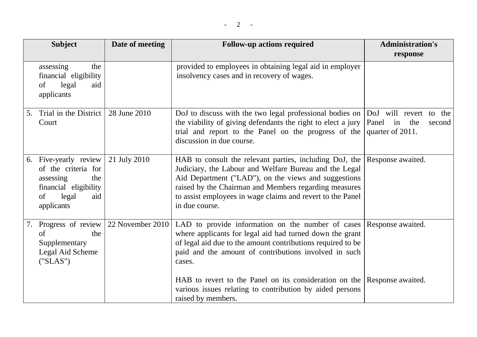|    | <b>Subject</b>                                                                                                             | Date of meeting  | <b>Follow-up actions required</b>                                                                                                                                                                                                                                                                                  | <b>Administration's</b>                                                 |
|----|----------------------------------------------------------------------------------------------------------------------------|------------------|--------------------------------------------------------------------------------------------------------------------------------------------------------------------------------------------------------------------------------------------------------------------------------------------------------------------|-------------------------------------------------------------------------|
|    |                                                                                                                            |                  |                                                                                                                                                                                                                                                                                                                    | response                                                                |
|    | assessing<br>the<br>financial eligibility<br>legal<br>of<br>aid<br>applicants                                              |                  | provided to employees in obtaining legal aid in employer<br>insolvency cases and in recovery of wages.                                                                                                                                                                                                             |                                                                         |
| 5. | Trial in the District<br>Court                                                                                             | 28 June 2010     | DoJ to discuss with the two legal professional bodies on<br>the viability of giving defendants the right to elect a jury<br>trial and report to the Panel on the progress of the<br>discussion in due course.                                                                                                      | DoJ will revert to the<br>Panel<br>in the<br>second<br>quarter of 2011. |
| 6. | Five-yearly review<br>of the criteria for<br>assessing<br>the<br>financial eligibility<br>legal<br>of<br>aid<br>applicants | 21 July 2010     | HAB to consult the relevant parties, including DoJ, the<br>Judiciary, the Labour and Welfare Bureau and the Legal<br>Aid Department ("LAD"), on the views and suggestions<br>raised by the Chairman and Members regarding measures<br>to assist employees in wage claims and revert to the Panel<br>in due course. | Response awaited.                                                       |
| 7. | Progress of review<br>of<br>the<br>Supplementary<br>Legal Aid Scheme<br>("SLAS")                                           | 22 November 2010 | LAD to provide information on the number of cases<br>where applicants for legal aid had turned down the grant<br>of legal aid due to the amount contributions required to be<br>paid and the amount of contributions involved in such<br>cases.                                                                    | Response awaited.                                                       |
|    |                                                                                                                            |                  | HAB to revert to the Panel on its consideration on the<br>various issues relating to contribution by aided persons<br>raised by members.                                                                                                                                                                           | Response awaited.                                                       |